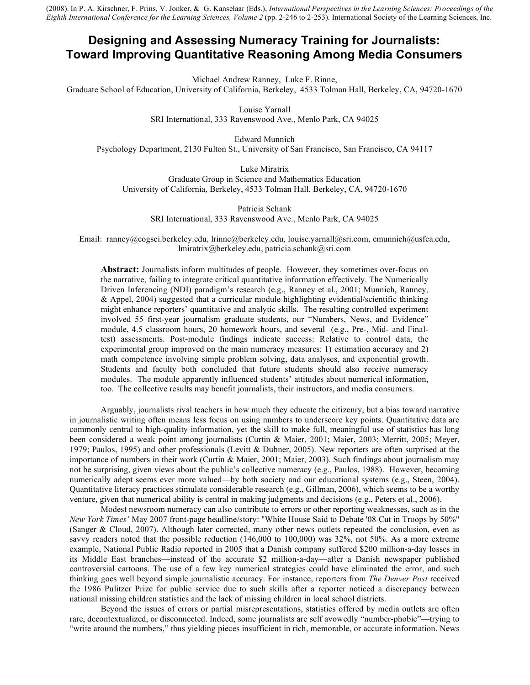(2008). In P. A. Kirschner, F. Prins, V. Jonker, & G. Kanselaar (Eds.), *International Perspectives in the Learning Sciences: Proceedings of the Eighth International Conference for the Learning Sciences, Volume 2* (pp. 2-246 to 2-253). International Society of the Learning Sciences, Inc.

# **Designing and Assessing Numeracy Training for Journalists: Toward Improving Quantitative Reasoning Among Media Consumers**

Michael Andrew Ranney, Luke F. Rinne,

Graduate School of Education, University of California, Berkeley, 4533 Tolman Hall, Berkeley, CA, 94720-1670

Louise Yarnall SRI International, 333 Ravenswood Ave., Menlo Park, CA 94025

Edward Munnich Psychology Department, 2130 Fulton St., University of San Francisco, San Francisco, CA 94117

Luke Miratrix Graduate Group in Science and Mathematics Education University of California, Berkeley, 4533 Tolman Hall, Berkeley, CA, 94720-1670

Patricia Schank SRI International, 333 Ravenswood Ave., Menlo Park, CA 94025

Email: ranney@cogsci.berkeley.edu, lrinne@berkeley.edu, louise.yarnall@sri.com, emunnich@usfca.edu, lmiratrix@berkeley.edu, patricia.schank@sri.com

**Abstract:** Journalists inform multitudes of people. However, they sometimes over-focus on the narrative, failing to integrate critical quantitative information effectively. The Numerically Driven Inferencing (NDI) paradigm's research (e.g., Ranney et al., 2001; Munnich, Ranney, & Appel, 2004) suggested that a curricular module highlighting evidential/scientific thinking might enhance reporters' quantitative and analytic skills. The resulting controlled experiment involved 55 first-year journalism graduate students, our "Numbers, News, and Evidence" module, 4.5 classroom hours, 20 homework hours, and several (e.g., Pre-, Mid- and Finaltest) assessments. Post-module findings indicate success: Relative to control data, the experimental group improved on the main numeracy measures: 1) estimation accuracy and 2) math competence involving simple problem solving, data analyses, and exponential growth. Students and faculty both concluded that future students should also receive numeracy modules. The module apparently influenced students' attitudes about numerical information, too. The collective results may benefit journalists, their instructors, and media consumers.

Arguably, journalists rival teachers in how much they educate the citizenry, but a bias toward narrative in journalistic writing often means less focus on using numbers to underscore key points. Quantitative data are commonly central to high-quality information, yet the skill to make full, meaningful use of statistics has long been considered a weak point among journalists (Curtin & Maier, 2001; Maier, 2003; Merritt, 2005; Meyer, 1979; Paulos, 1995) and other professionals (Levitt & Dubner, 2005). New reporters are often surprised at the importance of numbers in their work (Curtin & Maier, 2001; Maier, 2003). Such findings about journalism may not be surprising, given views about the public's collective numeracy (e.g., Paulos, 1988). However, becoming numerically adept seems ever more valued—by both society and our educational systems (e.g., Steen, 2004). Quantitative literacy practices stimulate considerable research (e.g., Gillman, 2006), which seems to be a worthy venture, given that numerical ability is central in making judgments and decisions (e.g., Peters et al., 2006).

Modest newsroom numeracy can also contribute to errors or other reporting weaknesses, such as in the *New York Times'* May 2007 front-page headline/story: "White House Said to Debate '08 Cut in Troops by 50%" (Sanger & Cloud, 2007). Although later corrected, many other news outlets repeated the conclusion, even as savvy readers noted that the possible reduction (146,000 to 100,000) was 32%, not 50%. As a more extreme example, National Public Radio reported in 2005 that a Danish company suffered \$200 million-a-day losses in its Middle East branches––instead of the accurate \$2 million-a-day—after a Danish newspaper published controversial cartoons. The use of a few key numerical strategies could have eliminated the error, and such thinking goes well beyond simple journalistic accuracy. For instance, reporters from *The Denver Post* received the 1986 Pulitzer Prize for public service due to such skills after a reporter noticed a discrepancy between national missing children statistics and the lack of missing children in local school districts.

Beyond the issues of errors or partial misrepresentations, statistics offered by media outlets are often rare, decontextualized, or disconnected. Indeed, some journalists are self avowedly "number-phobic"––trying to "write around the numbers," thus yielding pieces insufficient in rich, memorable, or accurate information. News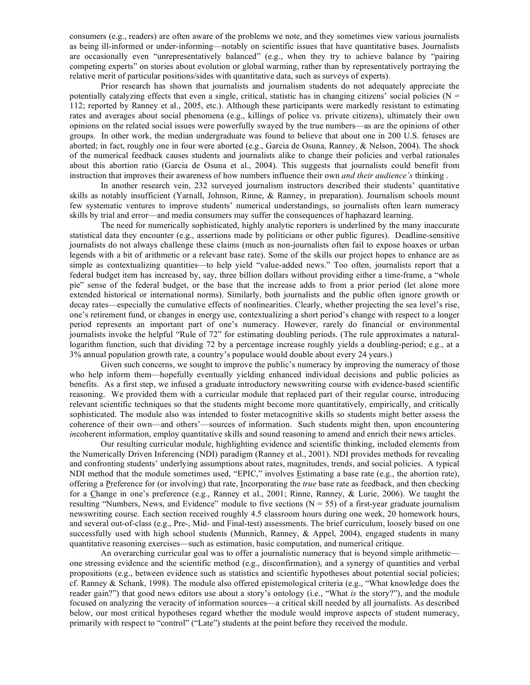consumers (e.g., readers) are often aware of the problems we note, and they sometimes view various journalists as being ill-informed or under-informing––notably on scientific issues that have quantitative bases. Journalists are occasionally even "unrepresentatively balanced" (e.g., when they try to achieve balance by "pairing competing experts" on stories about evolution or global warming, rather than by representatively portraying the relative merit of particular positions/sides with quantitative data, such as surveys of experts).

Prior research has shown that journalists and journalism students do not adequately appreciate the potentially catalyzing effects that even a single, critical, statistic has in changing citizens' social policies ( $N =$ 112; reported by Ranney et al., 2005, etc.). Although these participants were markedly resistant to estimating rates and averages about social phenomena (e.g., killings of police vs. private citizens), ultimately their own opinions on the related social issues were powerfully swayed by the true numbers––as are the opinions of other groups. In other work, the median undergraduate was found to believe that about one in 200 U.S. fetuses are aborted; in fact, roughly one in four were aborted (e.g., Garcia de Osuna, Ranney, & Nelson, 2004). The shock of the numerical feedback causes students and journalists alike to change their policies and verbal rationales about this abortion ratio (Garcia de Osuna et al., 2004). This suggests that journalists could benefit from instruction that improves their awareness of how numbers influence their own *and their audience's* thinking .

In another research vein, 232 surveyed journalism instructors described their students' quantitative skills as notably insufficient (Yarnall, Johnson, Rinne, & Ranney, in preparation). Journalism schools mount few systematic ventures to improve students' numerical understandings, so journalists often learn numeracy skills by trial and error––and media consumers may suffer the consequences of haphazard learning.

The need for numerically sophisticated, highly analytic reporters is underlined by the many inaccurate statistical data they encounter (e.g., assertions made by politicians or other public figures). Deadline-sensitive journalists do not always challenge these claims (much as non-journalists often fail to expose hoaxes or urban legends with a bit of arithmetic or a relevant base rate). Some of the skills our project hopes to enhance are as simple as contextualizing quantities—to help yield "value-added news." Too often, journalists report that a federal budget item has increased by, say, three billion dollars without providing either a time-frame, a "whole pie" sense of the federal budget, or the base that the increase adds to from a prior period (let alone more extended historical or international norms). Similarly, both journalists and the public often ignore growth or decay rates––especially the cumulative effects of nonlinearities. Clearly, whether projecting the sea level's rise, one's retirement fund, or changes in energy use, contextualizing a short period's change with respect to a longer period represents an important part of one's numeracy. However, rarely do financial or environmental journalists invoke the helpful "Rule of 72" for estimating doubling periods. (The rule approximates a naturallogarithm function, such that dividing 72 by a percentage increase roughly yields a doubling-period; e.g., at a 3% annual population growth rate, a country's populace would double about every 24 years.)

Given such concerns, we sought to improve the public's numeracy by improving the numeracy of those who help inform them––hopefully eventually yielding enhanced individual decisions and public policies as benefits. As a first step, we infused a graduate introductory newswriting course with evidence-based scientific reasoning. We provided them with a curricular module that replaced part of their regular course, introducing relevant scientific techniques so that the students might become more quantitatively, empirically, and critically sophisticated. The module also was intended to foster metacognitive skills so students might better assess the coherence of their own––and others'––sources of information. Such students might then, upon encountering *incoherent information, employ quantitative skills and sound reasoning to amend and enrich their news articles.* 

Our resulting curricular module, highlighting evidence and scientific thinking, included elements from the Numerically Driven Inferencing (NDI) paradigm (Ranney et al., 2001). NDI provides methods for revealing and confronting students' underlying assumptions about rates, magnitudes, trends, and social policies. A typical NDI method that the module sometimes used, "EPIC," involves Estimating a base rate (e.g., the abortion rate), offering a Preference for (or involving) that rate, Incorporating the *true* base rate as feedback, and then checking for a Change in one's preference (e.g., Ranney et al., 2001; Rinne, Ranney, & Lurie, 2006). We taught the resulting "Numbers, News, and Evidence" module to five sections  $(N = 55)$  of a first-year graduate journalism newswriting course. Each section received roughly 4.5 classroom hours during one week, 20 homework hours, and several out-of-class (e.g., Pre-, Mid- and Final-test) assessments. The brief curriculum, loosely based on one successfully used with high school students (Munnich, Ranney, & Appel, 2004), engaged students in many quantitative reasoning exercises––such as estimation, basic computation, and numerical critique.

An overarching curricular goal was to offer a journalistic numeracy that is beyond simple arithmetic–– one stressing evidence and the scientific method (e.g., disconfirmation), and a synergy of quantities and verbal propositions (e.g., between evidence such as statistics and scientific hypotheses about potential social policies; cf. Ranney & Schank, 1998). The module also offered epistemological criteria (e.g., "What knowledge does the reader gain?") that good news editors use about a story's ontology (i.e., "What *is* the story?"), and the module focused on analyzing the veracity of information sources––a critical skill needed by all journalists. As described below, our most critical hypotheses regard whether the module would improve aspects of student numeracy, primarily with respect to "control" ("Late") students at the point before they received the module.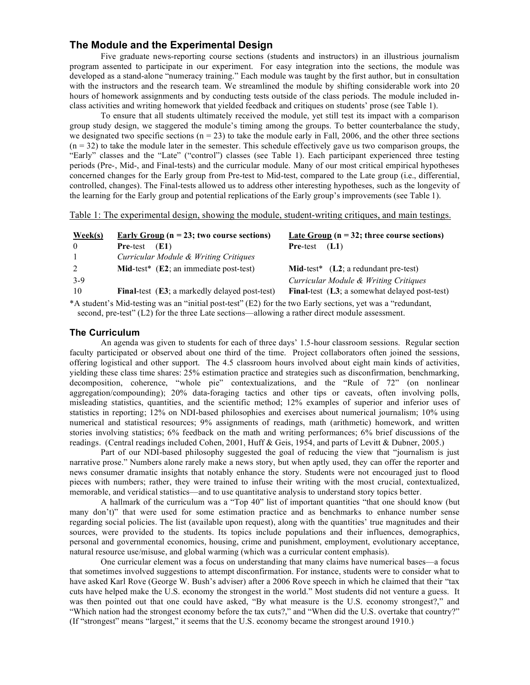# **The Module and the Experimental Design**

Five graduate news-reporting course sections (students and instructors) in an illustrious journalism program assented to participate in our experiment. For easy integration into the sections, the module was developed as a stand-alone "numeracy training." Each module was taught by the first author, but in consultation with the instructors and the research team. We streamlined the module by shifting considerable work into 20 hours of homework assignments and by conducting tests outside of the class periods. The module included inclass activities and writing homework that yielded feedback and critiques on students' prose (see Table 1).

To ensure that all students ultimately received the module, yet still test its impact with a comparison group study design, we staggered the module's timing among the groups. To better counterbalance the study, we designated two specific sections ( $n = 23$ ) to take the module early in Fall, 2006, and the other three sections  $(n = 32)$  to take the module later in the semester. This schedule effectively gave us two comparison groups, the "Early" classes and the "Late" ("control") classes (see Table 1). Each participant experienced three testing periods (Pre-, Mid-, and Final-tests) and the curricular module. Many of our most critical empirical hypotheses concerned changes for the Early group from Pre-test to Mid-test, compared to the Late group (i.e., differential, controlled, changes). The Final-tests allowed us to address other interesting hypotheses, such as the longevity of the learning for the Early group and potential replications of the Early group's improvements (see Table 1).

Table 1: The experimental design, showing the module, student-writing critiques, and main testings.

| $\textbf{Week}(s)$ | <u>Early Group</u> ( $n = 23$ ; two course sections)          | <u>Late Group</u> ( $n = 32$ ; three course sections) |
|--------------------|---------------------------------------------------------------|-------------------------------------------------------|
| $\theta$           | <b>Pre-test</b><br>(E1)                                       | (L1)<br><b>Pre-test</b>                               |
| $\overline{1}$     | Curricular Module & Writing Critiques                         |                                                       |
| 2                  | <b>Mid-test</b> ( $E2$ ; an immediate post-test)              | <b>Mid-test</b> * $(L2; a$ redundant pre-test)        |
| $3-9$              |                                                               | Curricular Module & Writing Critiques                 |
| 10                 | <b>Final-test</b> ( <b>E3</b> ; a markedly delayed post-test) | <b>Final-test</b> (L3; a somewhat delayed post-test)  |

\*A student's Mid-testing was an "initial post-test" (E2) for the two Early sections, yet was a "redundant, second, pre-test" (L2) for the three Late sections—allowing a rather direct module assessment.

### **The Curriculum**

An agenda was given to students for each of three days' 1.5-hour classroom sessions. Regular section faculty participated or observed about one third of the time. Project collaborators often joined the sessions, offering logistical and other support. The 4.5 classroom hours involved about eight main kinds of activities, yielding these class time shares: 25% estimation practice and strategies such as disconfirmation, benchmarking, decomposition, coherence, "whole pie" contextualizations, and the "Rule of 72" (on nonlinear aggregation/compounding); 20% data-foraging tactics and other tips or caveats, often involving polls, misleading statistics, quantities, and the scientific method; 12% examples of superior and inferior uses of statistics in reporting; 12% on NDI-based philosophies and exercises about numerical journalism; 10% using numerical and statistical resources; 9% assignments of readings, math (arithmetic) homework, and written stories involving statistics; 6% feedback on the math and writing performances; 6% brief discussions of the readings. (Central readings included Cohen, 2001, Huff & Geis, 1954, and parts of Levitt & Dubner, 2005.)

Part of our NDI-based philosophy suggested the goal of reducing the view that "journalism is just narrative prose." Numbers alone rarely make a news story, but when aptly used, they can offer the reporter and news consumer dramatic insights that notably enhance the story. Students were not encouraged just to flood pieces with numbers; rather, they were trained to infuse their writing with the most crucial, contextualized, memorable, and veridical statistics––and to use quantitative analysis to understand story topics better.

A hallmark of the curriculum was a "Top 40" list of important quantities "that one should know (but many don't)" that were used for some estimation practice and as benchmarks to enhance number sense regarding social policies. The list (available upon request), along with the quantities' true magnitudes and their sources, were provided to the students. Its topics include populations and their influences, demographics, personal and governmental economics, housing, crime and punishment, employment, evolutionary acceptance, natural resource use/misuse, and global warming (which was a curricular content emphasis).

One curricular element was a focus on understanding that many claims have numerical bases––a focus that sometimes involved suggestions to attempt disconfirmation. For instance, students were to consider what to have asked Karl Rove (George W. Bush's adviser) after a 2006 Rove speech in which he claimed that their "tax cuts have helped make the U.S. economy the strongest in the world." Most students did not venture a guess. It was then pointed out that one could have asked, "By what measure is the U.S. economy strongest?," and "Which nation had the strongest economy before the tax cuts?," and "When did the U.S. overtake that country?" (If "strongest" means "largest," it seems that the U.S. economy became the strongest around 1910.)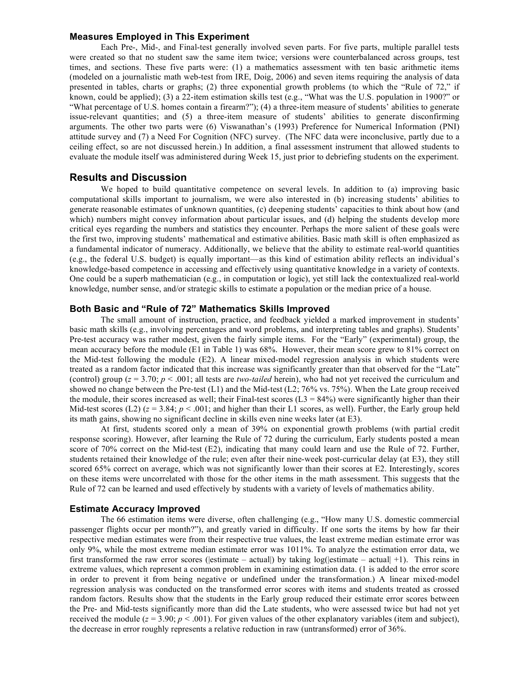#### **Measures Employed in This Experiment**

Each Pre-, Mid-, and Final-test generally involved seven parts. For five parts, multiple parallel tests were created so that no student saw the same item twice; versions were counterbalanced across groups, test times, and sections. These five parts were: (1) a mathematics assessment with ten basic arithmetic items (modeled on a journalistic math web-test from IRE, Doig, 2006) and seven items requiring the analysis of data presented in tables, charts or graphs; (2) three exponential growth problems (to which the "Rule of 72," if known, could be applied); (3) a 22-item estimation skills test (e.g., "What was the U.S. population in 1900?" or "What percentage of U.S. homes contain a firearm?"); (4) a three-item measure of students' abilities to generate issue-relevant quantities; and (5) a three-item measure of students' abilities to generate disconfirming arguments. The other two parts were (6) Viswanathan's (1993) Preference for Numerical Information (PNI) attitude survey and (7) a Need For Cognition (NFC) survey. (The NFC data were inconclusive, partly due to a ceiling effect, so are not discussed herein.) In addition, a final assessment instrument that allowed students to evaluate the module itself was administered during Week 15, just prior to debriefing students on the experiment.

### **Results and Discussion**

We hoped to build quantitative competence on several levels. In addition to (a) improving basic computational skills important to journalism, we were also interested in (b) increasing students' abilities to generate reasonable estimates of unknown quantities, (c) deepening students' capacities to think about how (and which) numbers might convey information about particular issues, and (d) helping the students develop more critical eyes regarding the numbers and statistics they encounter. Perhaps the more salient of these goals were the first two, improving students' mathematical and estimative abilities. Basic math skill is often emphasized as a fundamental indicator of numeracy. Additionally, we believe that the ability to estimate real-world quantities (e.g., the federal U.S. budget) is equally important––as this kind of estimation ability reflects an individual's knowledge-based competence in accessing and effectively using quantitative knowledge in a variety of contexts. One could be a superb mathematician (e.g., in computation or logic), yet still lack the contextualized real-world knowledge, number sense, and/or strategic skills to estimate a population or the median price of a house.

## **Both Basic and "Rule of 72" Mathematics Skills Improved**

The small amount of instruction, practice, and feedback yielded a marked improvement in students' basic math skills (e.g., involving percentages and word problems, and interpreting tables and graphs). Students' Pre-test accuracy was rather modest, given the fairly simple items. For the "Early" (experimental) group, the mean accuracy before the module (E1 in Table 1) was 68%. However, their mean score grew to 81% correct on the Mid-test following the module (E2). A linear mixed-model regression analysis in which students were treated as a random factor indicated that this increase was significantly greater than that observed for the "Late" (control) group (*z* = 3.70; *p* < .001; all tests are *two-tailed* herein), who had not yet received the curriculum and showed no change between the Pre-test (L1) and the Mid-test (L2; 76% vs. 75%). When the Late group received the module, their scores increased as well; their Final-test scores ( $L3 = 84%$ ) were significantly higher than their Mid-test scores (L2)  $(z = 3.84; p < .001;$  and higher than their L1 scores, as well). Further, the Early group held its math gains, showing no significant decline in skills even nine weeks later (at E3).

At first, students scored only a mean of 39% on exponential growth problems (with partial credit response scoring). However, after learning the Rule of 72 during the curriculum, Early students posted a mean score of 70% correct on the Mid-test (E2), indicating that many could learn and use the Rule of 72. Further, students retained their knowledge of the rule; even after their nine-week post-curricular delay (at E3), they still scored 65% correct on average, which was not significantly lower than their scores at E2. Interestingly, scores on these items were uncorrelated with those for the other items in the math assessment. This suggests that the Rule of 72 can be learned and used effectively by students with a variety of levels of mathematics ability.

### **Estimate Accuracy Improved**

The 66 estimation items were diverse, often challenging (e.g., "How many U.S. domestic commercial passenger flights occur per month?"), and greatly varied in difficulty. If one sorts the items by how far their respective median estimates were from their respective true values, the least extreme median estimate error was only 9%, while the most extreme median estimate error was 1011%. To analyze the estimation error data, we first transformed the raw error scores (|estimate – actual|) by taking log(|estimate – actual| +1). This reins in extreme values, which represent a common problem in examining estimation data. (1 is added to the error score in order to prevent it from being negative or undefined under the transformation.) A linear mixed-model regression analysis was conducted on the transformed error scores with items and students treated as crossed random factors. Results show that the students in the Early group reduced their estimate error scores between the Pre- and Mid-tests significantly more than did the Late students, who were assessed twice but had not yet received the module  $(z = 3.90; p < .001)$ . For given values of the other explanatory variables (item and subject), the decrease in error roughly represents a relative reduction in raw (untransformed) error of 36%.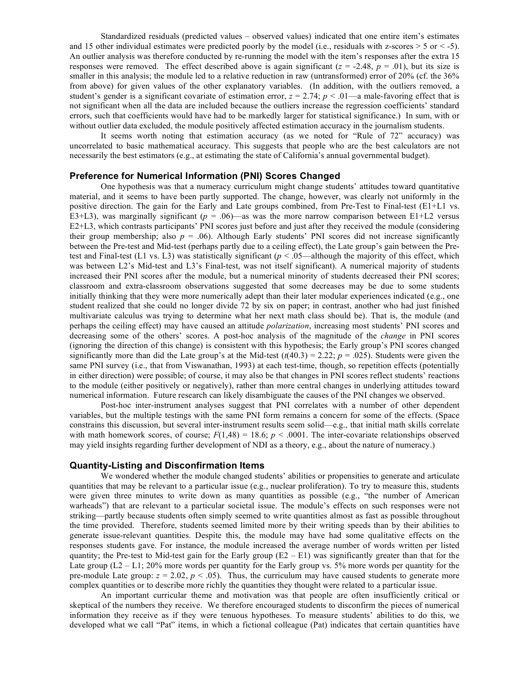Standardized residuals (predicted values – observed values) indicated that one entire item's estimates and 15 other individual estimates were predicted poorly by the model (i.e., residuals with z-scores  $> 5$  or  $< -5$ ). An outlier analysis was therefore conducted by re-running the model with the item's responses after the extra 15 responses were removed. The effect described above is again significant ( $z = -2.48$ ,  $p = .01$ ), but its size is smaller in this analysis; the module led to a relative reduction in raw (untransformed) error of 20% (cf. the 36% from above) for given values of the other explanatory variables. (In addition, with the outliers removed, a student's gender is a significant covariate of estimation error,  $z = 2.74$ ;  $p < 0.01$ —a male-favoring effect that is not significant when all the data are included because the outliers increase the regression coefficients' standard errors, such that coefficients would have had to be markedly larger for statistical significance.) In sum, with or without outlier data excluded, the module positively affected estimation accuracy in the journalism students.

It seems worth noting that estimation accuracy (as we noted for "Rule of 72" accuracy) was uncorrelated to basic mathematical accuracy. This suggests that people who are the best calculators are not necessarily the best estimators (e.g., at estimating the state of California's annual governmental budget).

## **Preference for Numerical Information (PNI) Scores Changed**

One hypothesis was that a numeracy curriculum might change students' attitudes toward quantitative material, and it seems to have been partly supported. The change, however, was clearly not uniformly in the positive direction. The gain for the Early and Late groups combined, from Pre-Test to Final-test (E1+L1 vs. E3+L3), was marginally significant ( $p = 0.06$ )—as was the more narrow comparison between E1+L2 versus E2+L3, which contrasts participants' PNI scores just before and just after they received the module (considering their group membership; also  $p = 0.06$ ). Although Early students' PNI scores did not increase significantly between the Pre-test and Mid-test (perhaps partly due to a ceiling effect), the Late group's gain between the Pretest and Final-test (L1 vs. L3) was statistically significant ( $p < .05$ —although the majority of this effect, which was between L2's Mid-test and L3's Final-test, was not itself significant). A numerical majority of students increased their PNI scores after the module, but a numerical minority of students decreased their PNI scores; classroom and extra-classroom observations suggested that some decreases may be due to some students initially thinking that they were more numerically adept than their later modular experiences indicated (e.g., one student realized that she could no longer divide 72 by six on paper; in contrast, another who had just finished multivariate calculus was trying to determine what her next math class should be). That is, the module (and perhaps the ceiling effect) may have caused an attitude *polarization*, increasing most students' PNI scores and decreasing some of the others' scores. A post-hoc analysis of the magnitude of the *change* in PNI scores (ignoring the direction of this change) is consistent with this hypothesis; the Early group's PNI scores changed significantly more than did the Late group's at the Mid-test  $(t(40.3) = 2.22; p = .025)$ . Students were given the same PNI survey (i.e., that from Viswanathan, 1993) at each test-time, though, so repetition effects (potentially in either direction) were possible; of course, it may also be that changes in PNI scores reflect students' reactions to the module (either positively or negatively), rather than more central changes in underlying attitudes toward numerical information. Future research can likely disambiguate the causes of the PNI changes we observed.

Post-hoc inter-instrument analyses suggest that PNI correlates with a number of other dependent variables, but the multiple testings with the same PNI form remains a concern for some of the effects. (Space constrains this discussion, but several inter-instrument results seem solid––e.g., that initial math skills correlate with math homework scores, of course;  $F(1,48) = 18.6$ ;  $p < .0001$ . The inter-covariate relationships observed may yield insights regarding further development of NDI as a theory, e.g., about the nature of numeracy.)

#### **Quantity-Listing and Disconfirmation Items**

We wondered whether the module changed students' abilities or propensities to generate and articulate quantities that may be relevant to a particular issue (e.g., nuclear proliferation). To try to measure this, students were given three minutes to write down as many quantities as possible (e.g., "the number of American warheads") that are relevant to a particular societal issue. The module's effects on such responses were not striking—partly because students often simply seemed to write quantities almost as fast as possible throughout the time provided. Therefore, students seemed limited more by their writing speeds than by their abilities to generate issue-relevant quantities. Despite this, the module may have had some qualitative effects on the responses students gave. For instance, the module increased the average number of words written per listed quantity; the Pre-test to Mid-test gain for the Early group  $(E2 - E1)$  was significantly greater than that for the Late group  $(L2 - L1; 20\%$  more words per quantity for the Early group vs. 5% more words per quantity for the pre-module Late group:  $z = 2.02$ ,  $p < .05$ ). Thus, the curriculum may have caused students to generate more complex quantities or to describe more richly the quantities they thought were related to a particular issue.

An important curricular theme and motivation was that people are often insufficiently critical or skeptical of the numbers they receive. We therefore encouraged students to disconfirm the pieces of numerical information they receive as if they were tenuous hypotheses. To measure students' abilities to do this, we developed what we call "Pat" items, in which a fictional colleague (Pat) indicates that certain quantities have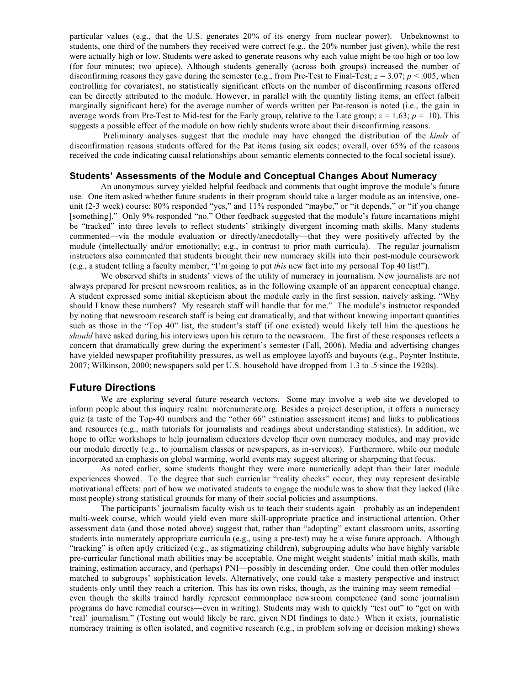particular values (e.g., that the U.S. generates 20% of its energy from nuclear power). Unbeknownst to students, one third of the numbers they received were correct (e.g., the 20% number just given), while the rest were actually high or low. Students were asked to generate reasons why each value might be too high or too low (for four minutes; two apiece). Although students generally (across both groups) increased the number of disconfirming reasons they gave during the semester (e.g., from Pre-Test to Final-Test;  $z = 3.07$ ;  $p < .005$ , when controlling for covariates), no statistically significant effects on the number of disconfirming reasons offered can be directly attributed to the module. However, in parallel with the quantity listing items, an effect (albeit marginally significant here) for the average number of words written per Pat-reason is noted (i.e., the gain in average words from Pre-Test to Mid-test for the Early group, relative to the Late group;  $z = 1.63$ ;  $p = .10$ ). This suggests a possible effect of the module on how richly students wrote about their disconfirming reasons.

Preliminary analyses suggest that the module may have changed the distribution of the *kinds* of disconfirmation reasons students offered for the Pat items (using six codes; overall, over 65% of the reasons received the code indicating causal relationships about semantic elements connected to the focal societal issue).

### **Students' Assessments of the Module and Conceptual Changes About Numeracy**

An anonymous survey yielded helpful feedback and comments that ought improve the module's future use. One item asked whether future students in their program should take a larger module as an intensive, oneunit (2-3 week) course: 80% responded "yes," and 11% responded "maybe," or "it depends," or "if you change [something]." Only 9% responded "no." Other feedback suggested that the module's future incarnations might be "tracked" into three levels to reflect students' strikingly divergent incoming math skills. Many students commented––via the module evaluation or directly/anecdotally––that they were positively affected by the module (intellectually and/or emotionally; e.g., in contrast to prior math curricula). The regular journalism instructors also commented that students brought their new numeracy skills into their post-module coursework (e.g., a student telling a faculty member, "I'm going to put *this* new fact into my personal Top 40 list!").

We observed shifts in students' views of the utility of numeracy in journalism. New journalists are not always prepared for present newsroom realities, as in the following example of an apparent conceptual change. A student expressed some initial skepticism about the module early in the first session, naively asking, "Why should I know these numbers? My research staff will handle that for me." The module's instructor responded by noting that newsroom research staff is being cut dramatically, and that without knowing important quantities such as those in the "Top 40" list, the student's staff (if one existed) would likely tell him the questions he *should* have asked during his interviews upon his return to the newsroom. The first of these responses reflects a concern that dramatically grew during the experiment's semester (Fall, 2006). Media and advertising changes have yielded newspaper profitability pressures, as well as employee layoffs and buyouts (e.g., Poynter Institute, 2007; Wilkinson, 2000; newspapers sold per U.S. household have dropped from 1.3 to .5 since the 1920s).

#### **Future Directions**

We are exploring several future research vectors. Some may involve a web site we developed to inform people about this inquiry realm: morenumerate.org. Besides a project description, it offers a numeracy quiz (a taste of the Top-40 numbers and the "other 66" estimation assessment items) and links to publications and resources (e.g., math tutorials for journalists and readings about understanding statistics). In addition, we hope to offer workshops to help journalism educators develop their own numeracy modules, and may provide our module directly (e.g., to journalism classes or newspapers, as in-services). Furthermore, while our module incorporated an emphasis on global warming, world events may suggest altering or sharpening that focus.

As noted earlier, some students thought they were more numerically adept than their later module experiences showed. To the degree that such curricular "reality checks" occur, they may represent desirable motivational effects: part of how we motivated students to engage the module was to show that they lacked (like most people) strong statistical grounds for many of their social policies and assumptions.

The participants' journalism faculty wish us to teach their students again––probably as an independent multi-week course, which would yield even more skill-appropriate practice and instructional attention. Other assessment data (and those noted above) suggest that, rather than "adopting" extant classroom units, assorting students into numerately appropriate curricula (e.g., using a pre-test) may be a wise future approach. Although "tracking" is often aptly criticized (e.g., as stigmatizing children), subgrouping adults who have highly variable pre-curricular functional math abilities may be acceptable. One might weight students' initial math skills, math training, estimation accuracy, and (perhaps) PNI––possibly in descending order. One could then offer modules matched to subgroups' sophistication levels. Alternatively, one could take a mastery perspective and instruct students only until they reach a criterion. This has its own risks, though, as the training may seem remedial even though the skills trained hardly represent commonplace newsroom competence (and some journalism programs do have remedial courses––even in writing). Students may wish to quickly "test out" to "get on with 'real' journalism." (Testing out would likely be rare, given NDI findings to date.) When it exists, journalistic numeracy training is often isolated, and cognitive research (e.g., in problem solving or decision making) shows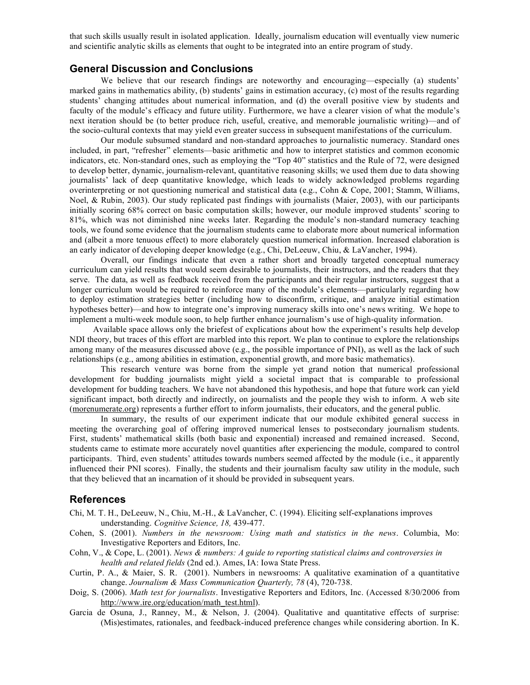that such skills usually result in isolated application. Ideally, journalism education will eventually view numeric and scientific analytic skills as elements that ought to be integrated into an entire program of study.

# **General Discussion and Conclusions**

We believe that our research findings are noteworthy and encouraging—especially (a) students' marked gains in mathematics ability, (b) students' gains in estimation accuracy, (c) most of the results regarding students' changing attitudes about numerical information, and (d) the overall positive view by students and faculty of the module's efficacy and future utility. Furthermore, we have a clearer vision of what the module's next iteration should be (to better produce rich, useful, creative, and memorable journalistic writing)––and of the socio-cultural contexts that may yield even greater success in subsequent manifestations of the curriculum.

Our module subsumed standard and non-standard approaches to journalistic numeracy. Standard ones included, in part, "refresher" elements––basic arithmetic and how to interpret statistics and common economic indicators, etc. Non-standard ones, such as employing the "Top 40" statistics and the Rule of 72, were designed to develop better, dynamic, journalism-relevant, quantitative reasoning skills; we used them due to data showing journalists' lack of deep quantitative knowledge, which leads to widely acknowledged problems regarding overinterpreting or not questioning numerical and statistical data (e.g., Cohn & Cope, 2001; Stamm, Williams, Noel, & Rubin, 2003). Our study replicated past findings with journalists (Maier, 2003), with our participants initially scoring 68% correct on basic computation skills; however, our module improved students' scoring to 81%, which was not diminished nine weeks later. Regarding the module's non-standard numeracy teaching tools, we found some evidence that the journalism students came to elaborate more about numerical information and (albeit a more tenuous effect) to more elaborately question numerical information. Increased elaboration is an early indicator of developing deeper knowledge (e.g., Chi, DeLeeuw, Chiu, & LaVancher, 1994).

Overall, our findings indicate that even a rather short and broadly targeted conceptual numeracy curriculum can yield results that would seem desirable to journalists, their instructors, and the readers that they serve. The data, as well as feedback received from the participants and their regular instructors, suggest that a longer curriculum would be required to reinforce many of the module's elements––particularly regarding how to deploy estimation strategies better (including how to disconfirm, critique, and analyze initial estimation hypotheses better)––and how to integrate one's improving numeracy skills into one's news writing. We hope to implement a multi-week module soon, to help further enhance journalism's use of high-quality information.

Available space allows only the briefest of explications about how the experiment's results help develop NDI theory, but traces of this effort are marbled into this report. We plan to continue to explore the relationships among many of the measures discussed above (e.g., the possible importance of PNI), as well as the lack of such relationships (e.g., among abilities in estimation, exponential growth, and more basic mathematics).

This research venture was borne from the simple yet grand notion that numerical professional development for budding journalists might yield a societal impact that is comparable to professional development for budding teachers. We have not abandoned this hypothesis, and hope that future work can yield significant impact, both directly and indirectly, on journalists and the people they wish to inform. A web site (morenumerate.org) represents a further effort to inform journalists, their educators, and the general public.

In summary, the results of our experiment indicate that our module exhibited general success in meeting the overarching goal of offering improved numerical lenses to postsecondary journalism students. First, students' mathematical skills (both basic and exponential) increased and remained increased. Second, students came to estimate more accurately novel quantities after experiencing the module, compared to control participants. Third, even students' attitudes towards numbers seemed affected by the module (i.e., it apparently influenced their PNI scores). Finally, the students and their journalism faculty saw utility in the module, such that they believed that an incarnation of it should be provided in subsequent years.

# **References**

- Chi, M. T. H., DeLeeuw, N., Chiu, M.-H., & LaVancher, C. (1994). Eliciting self-explanations improves understanding. *Cognitive Science, 18,* 439-477.
- Cohen, S. (2001). *Numbers in the newsroom: Using math and statistics in the news*. Columbia, Mo: Investigative Reporters and Editors, Inc.
- Cohn, V., & Cope, L. (2001). *News & numbers: A guide to reporting statistical claims and controversies in health and related fields* (2nd ed.). Ames, IA: Iowa State Press.
- Curtin, P. A., & Maier, S. R. (2001). Numbers in newsrooms: A qualitative examination of a quantitative change. *Journalism & Mass Communication Quarterly, 78* (4), 720-738.
- Doig, S. (2006). *Math test for journalists*. Investigative Reporters and Editors, Inc. (Accessed 8/30/2006 from http://www.ire.org/education/math\_test.html).
- Garcia de Osuna, J., Ranney, M., & Nelson, J. (2004). Qualitative and quantitative effects of surprise: (Mis)estimates, rationales, and feedback-induced preference changes while considering abortion. In K.